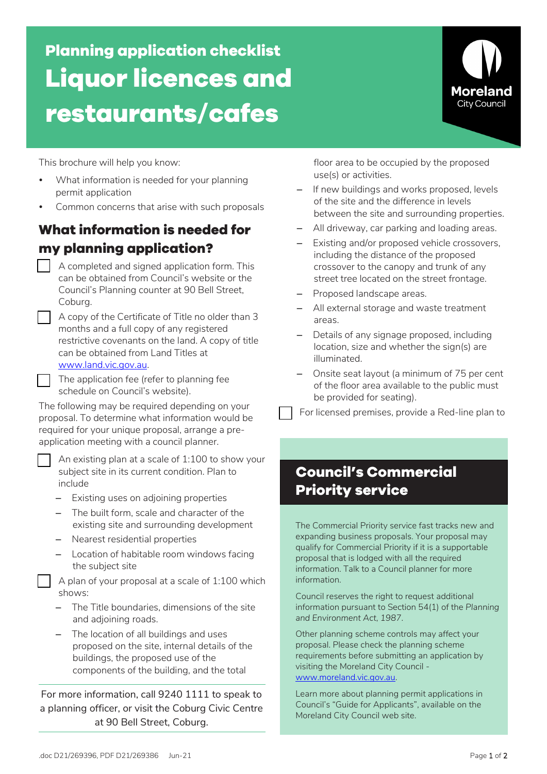.doc D21/269396, PDF D21/269386 Jun-21 **Page 1 of 2** Page 1 of 2

# **Planning application checklist Liquor licences and restaurants/cafes**

This brochure will help you know:

- What information is needed for your planning permit application
- Common concerns that arise with such proposals

### **What information is needed for my planning application?**

- A completed and signed application form. This can be obtained from Council's website or the Council's Planning counter at 90 Bell Street, Coburg.
- A copy of the Certificate of Title no older than 3 months and a full copy of any registered restrictive covenants on the land. A copy of title can be obtained from Land Titles at www.land.vic.gov.au.
- The application fee (refer to planning fee schedule on Council's website).

The following may be required depending on your proposal. To determine what information would be required for your unique proposal, arrange a preapplication meeting with a council planner.

 An existing plan at a scale of 1:100 to show your subject site in its current condition. Plan to include

- Existing uses on adjoining properties
- The built form, scale and character of the existing site and surrounding development
- Nearest residential properties
- Location of habitable room windows facing the subject site

 A plan of your proposal at a scale of 1:100 which shows:

- The Title boundaries, dimensions of the site and adjoining roads.
- The location of all buildings and uses proposed on the site, internal details of the buildings, the proposed use of the components of the building, and the total

For more information, call 9240 1111 to speak to a planning officer, or visit the Coburg Civic Centre at 90 Bell Street, Coburg.

floor area to be occupied by the proposed use(s) or activities.

- If new buildings and works proposed, levels of the site and the difference in levels between the site and surrounding properties.
- All driveway, car parking and loading areas.
- Existing and/or proposed vehicle crossovers, including the distance of the proposed crossover to the canopy and trunk of any street tree located on the street frontage.
- Proposed landscape areas.
- All external storage and waste treatment areas.
- Details of any signage proposed, including location, size and whether the sign(s) are illuminated.
- Onsite seat layout (a minimum of 75 per cent of the floor area available to the public must be provided for seating).

For licensed premises, provide a Red-line plan to

## **Council's Commercial Priority service**

The Commercial Priority service fast tracks new and expanding business proposals. Your proposal may qualify for Commercial Priority if it is a supportable proposal that is lodged with all the required information. Talk to a Council planner for more information.

Council reserves the right to request additional information pursuant to Section 54(1) of the *Planning and Environment Act, 1987*.

Other planning scheme controls may affect your proposal. Please check the planning scheme requirements before submitting an application by visiting the Moreland City Council www.moreland.vic.gov.au.

Learn more about planning permit applications in Council's "Guide for Applicants", available on the Moreland City Council web site.